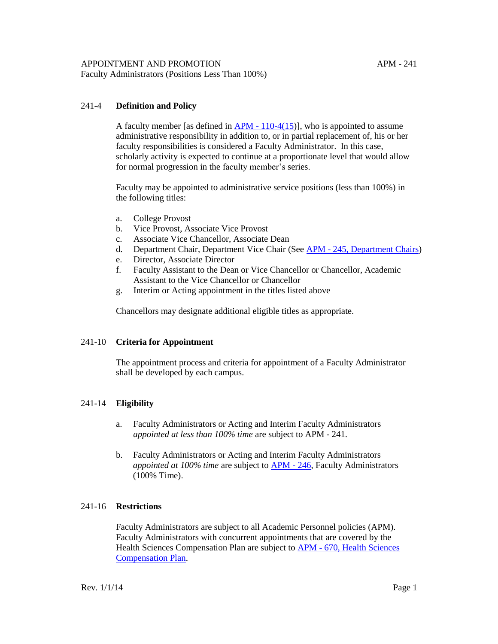Faculty Administrators (Positions Less Than 100%)

## 241-4 **Definition and Policy**

A faculty member [as defined in APM - [110-4\(15\)](http://www.ucop.edu/academic-personnel/_files/apm/apm-110.pdf)], who is appointed to assume administrative responsibility in addition to, or in partial replacement of, his or her faculty responsibilities is considered a Faculty Administrator. In this case, scholarly activity is expected to continue at a proportionate level that would allow for normal progression in the faculty member's series.

Faculty may be appointed to administrative service positions (less than 100%) in the following titles:

- a. College Provost
- b. Vice Provost, Associate Vice Provost
- c. Associate Vice Chancellor, Associate Dean
- d. Department Chair, Department Vice Chair (See APM [245, Department Chairs\)](http://www.ucop.edu/academic-personnel/_files/apm/apm-245.pdf)
- e. Director, Associate Director
- f. Faculty Assistant to the Dean or Vice Chancellor or Chancellor, Academic Assistant to the Vice Chancellor or Chancellor
- g. Interim or Acting appointment in the titles listed above

Chancellors may designate additional eligible titles as appropriate.

#### 241-10 **Criteria for Appointment**

The appointment process and criteria for appointment of a Faculty Administrator shall be developed by each campus.

## 241-14 **Eligibility**

- a. Faculty Administrators or Acting and Interim Faculty Administrators *appointed at less than 100% time* are subject to APM - 241.
- b. Faculty Administrators or Acting and Interim Faculty Administrators *appointed at 100% time* are subject to [APM](http://www.ucop.edu/academic-personnel/_files/apm/apm-246.pdf) - 246, Faculty Administrators (100% Time).

## 241-16 **Restrictions**

Faculty Administrators are subject to all Academic Personnel policies (APM). Faculty Administrators with concurrent appointments that are covered by the Health Sciences Compensation Plan are subject to APM - [670, Health Sciences](http://www.ucop.edu/academic-personnel/_files/apm/apm-670.pdf)  [Compensation Plan.](http://www.ucop.edu/academic-personnel/_files/apm/apm-670.pdf)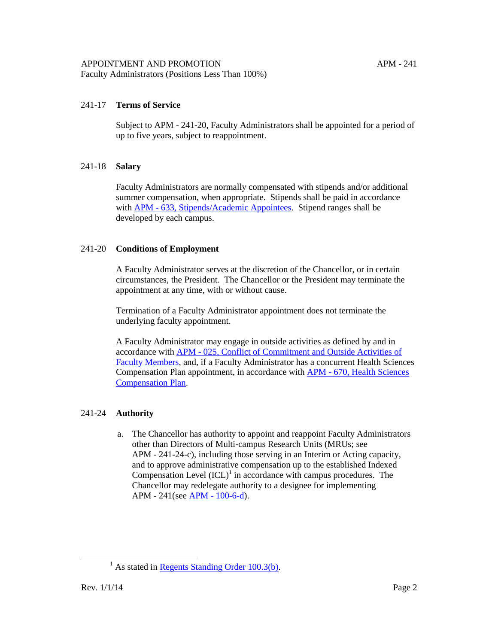# 241-17 **Terms of Service**

Subject to APM - 241-20, Faculty Administrators shall be appointed for a period of up to five years, subject to reappointment.

## 241-18 **Salary**

Faculty Administrators are normally compensated with stipends and/or additional summer compensation, when appropriate. Stipends shall be paid in accordance with APM - [633, Stipends/Academic Appointees.](http://www.ucop.edu/academic-personnel/_files/apm/apm-633.pdf) Stipend ranges shall be developed by each campus.

## 241-20 **Conditions of Employment**

A Faculty Administrator serves at the discretion of the Chancellor, or in certain circumstances, the President. The Chancellor or the President may terminate the appointment at any time, with or without cause.

Termination of a Faculty Administrator appointment does not terminate the underlying faculty appointment.

A Faculty Administrator may engage in outside activities as defined by and in accordance with APM - [025, Conflict of Commitment and Outside Activities of](http://www.ucop.edu/academic-personnel/_files/apm/apm-025-07-01.pdf)  [Faculty Members,](http://www.ucop.edu/academic-personnel/_files/apm/apm-025-07-01.pdf) and, if a Faculty Administrator has a concurrent Health Sciences Compensation Plan appointment, in accordance with APM - [670, Health Sciences](http://www.ucop.edu/academic-personnel/_files/apm/apm-670.pdf)  [Compensation Plan.](http://www.ucop.edu/academic-personnel/_files/apm/apm-670.pdf)

# 241-24 **Authority**

a. The Chancellor has authority to appoint and reappoint Faculty Administrators other than Directors of Multi-campus Research Units (MRUs; see APM - 241-24-c), including those serving in an Interim or Acting capacity, and to approve administrative compensation up to the established Indexed Compensation Level  ${(ICL)}<sup>1</sup>$  in accordance with campus procedures. The Chancellor may redelegate authority to a designee for implementing APM - 241(see APM - [100-6-d\)](http://www.ucop.edu/academic-personnel/_files/apm/apm-100.pdf).

 $\overline{a}$ 

 $<sup>1</sup>$  As stated in [Regents Standing Order 100.3\(b\).](http://regents.universityofcalifornia.edu/governance/standing-orders/so1003.html)</sup>